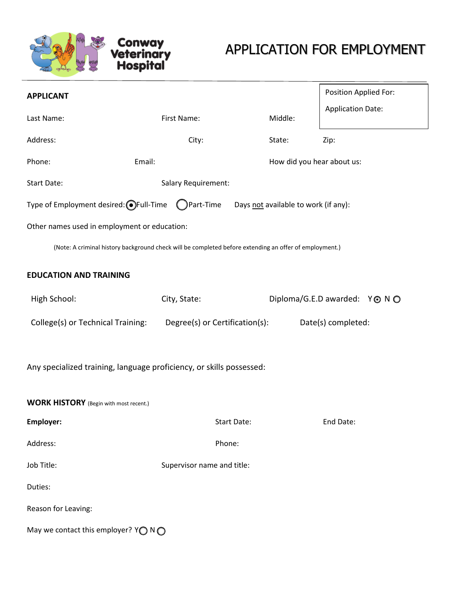

## APPLICATION FOR EMPLOYMENT

| <b>APPLICANT</b>                                                                                       |                                |                            | Position Applied For:         |  |  |  |
|--------------------------------------------------------------------------------------------------------|--------------------------------|----------------------------|-------------------------------|--|--|--|
| Last Name:                                                                                             | First Name:                    | Middle:                    | <b>Application Date:</b>      |  |  |  |
| Address:                                                                                               | City:                          | State:                     | Zip:                          |  |  |  |
| Phone:                                                                                                 | Email:                         | How did you hear about us: |                               |  |  |  |
| Start Date:                                                                                            | Salary Requirement:            |                            |                               |  |  |  |
| Type of Employment desired: ●Full-Time ●Part-Time<br>Days not available to work (if any):              |                                |                            |                               |  |  |  |
| Other names used in employment or education:                                                           |                                |                            |                               |  |  |  |
| (Note: A criminal history background check will be completed before extending an offer of employment.) |                                |                            |                               |  |  |  |
| <b>EDUCATION AND TRAINING</b>                                                                          |                                |                            |                               |  |  |  |
| High School:                                                                                           | City, State:                   |                            | Diploma/G.E.D awarded: Y⊙ N O |  |  |  |
| College(s) or Technical Training:                                                                      | Degree(s) or Certification(s): |                            | Date(s) completed:            |  |  |  |
| Any specialized training, language proficiency, or skills possessed:                                   |                                |                            |                               |  |  |  |
| <b>WORK HISTORY</b> (Begin with most recent.)                                                          |                                |                            |                               |  |  |  |
| <b>Employer:</b>                                                                                       | <b>Start Date:</b>             |                            | End Date:                     |  |  |  |
| Address:                                                                                               | Phone:                         |                            |                               |  |  |  |
| Job Title:                                                                                             | Supervisor name and title:     |                            |                               |  |  |  |
| Duties:                                                                                                |                                |                            |                               |  |  |  |
| Reason for Leaving:                                                                                    |                                |                            |                               |  |  |  |
| May we contact this employer? $Y \bigcirc N \bigcirc$                                                  |                                |                            |                               |  |  |  |